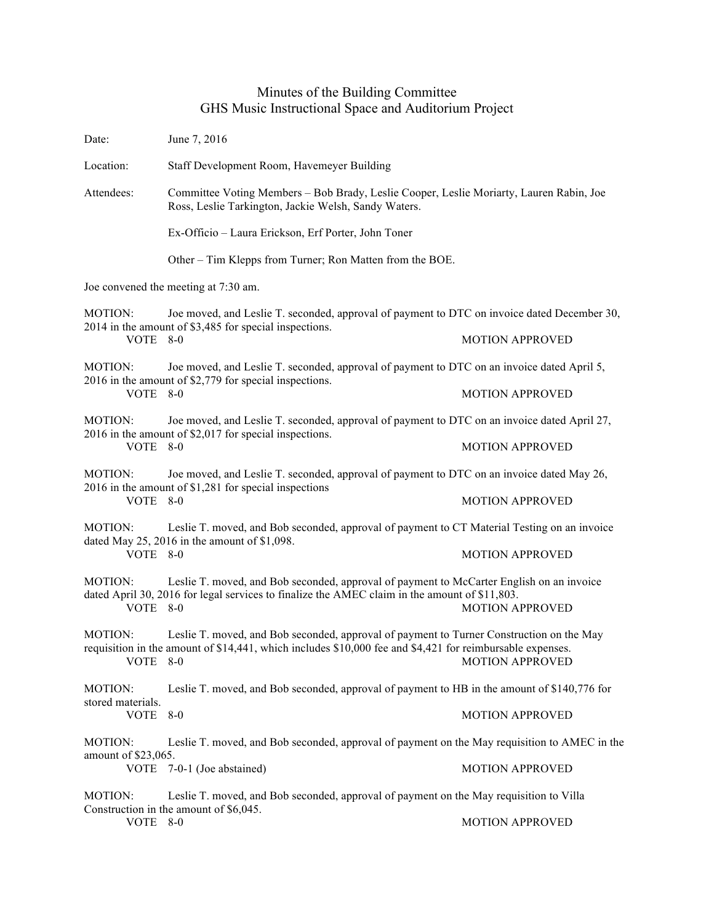## Minutes of the Building Committee GHS Music Instructional Space and Auditorium Project

| Date:                                                                                                  | June 7, 2016                                                                                                                                                                                          |                        |  |  |
|--------------------------------------------------------------------------------------------------------|-------------------------------------------------------------------------------------------------------------------------------------------------------------------------------------------------------|------------------------|--|--|
| Location:                                                                                              | Staff Development Room, Havemeyer Building                                                                                                                                                            |                        |  |  |
| Attendees:                                                                                             | Committee Voting Members - Bob Brady, Leslie Cooper, Leslie Moriarty, Lauren Rabin, Joe<br>Ross, Leslie Tarkington, Jackie Welsh, Sandy Waters.                                                       |                        |  |  |
|                                                                                                        | Ex-Officio - Laura Erickson, Erf Porter, John Toner                                                                                                                                                   |                        |  |  |
|                                                                                                        | Other – Tim Klepps from Turner; Ron Matten from the BOE.                                                                                                                                              |                        |  |  |
| Joe convened the meeting at 7:30 am.                                                                   |                                                                                                                                                                                                       |                        |  |  |
| MOTION:                                                                                                | Joe moved, and Leslie T. seconded, approval of payment to DTC on invoice dated December 30,<br>2014 in the amount of \$3,485 for special inspections.                                                 |                        |  |  |
| VOTE 8-0                                                                                               |                                                                                                                                                                                                       | <b>MOTION APPROVED</b> |  |  |
| <b>MOTION:</b>                                                                                         | Joe moved, and Leslie T. seconded, approval of payment to DTC on an invoice dated April 5,<br>2016 in the amount of \$2,779 for special inspections.                                                  |                        |  |  |
| VOTE 8-0                                                                                               |                                                                                                                                                                                                       | <b>MOTION APPROVED</b> |  |  |
| MOTION:<br>VOTE                                                                                        | Joe moved, and Leslie T. seconded, approval of payment to DTC on an invoice dated April 27,<br>2016 in the amount of \$2,017 for special inspections.<br>$8-0$                                        |                        |  |  |
|                                                                                                        |                                                                                                                                                                                                       | <b>MOTION APPROVED</b> |  |  |
| MOTION:                                                                                                | Joe moved, and Leslie T. seconded, approval of payment to DTC on an invoice dated May 26,<br>2016 in the amount of \$1,281 for special inspections                                                    |                        |  |  |
| VOTE 8-0                                                                                               |                                                                                                                                                                                                       | <b>MOTION APPROVED</b> |  |  |
| Leslie T. moved, and Bob seconded, approval of payment to CT Material Testing on an invoice<br>MOTION: |                                                                                                                                                                                                       |                        |  |  |
| VOTE 8-0                                                                                               | dated May 25, 2016 in the amount of \$1,098.                                                                                                                                                          | <b>MOTION APPROVED</b> |  |  |
| <b>MOTION:</b><br>VOTE 8-0                                                                             | Leslie T. moved, and Bob seconded, approval of payment to McCarter English on an invoice<br>dated April 30, 2016 for legal services to finalize the AMEC claim in the amount of \$11,803.             | <b>MOTION APPROVED</b> |  |  |
| MOTION:<br>VOTE 8-0                                                                                    | Leslie T. moved, and Bob seconded, approval of payment to Turner Construction on the May<br>requisition in the amount of \$14,441, which includes \$10,000 fee and \$4,421 for reimbursable expenses. | <b>MOTION APPROVED</b> |  |  |
| <b>MOTION:</b><br>stored materials.<br>VOTE 8-0                                                        | Leslie T. moved, and Bob seconded, approval of payment to HB in the amount of \$140,776 for                                                                                                           |                        |  |  |
|                                                                                                        |                                                                                                                                                                                                       | <b>MOTION APPROVED</b> |  |  |
| MOTION:                                                                                                | Leslie T. moved, and Bob seconded, approval of payment on the May requisition to AMEC in the                                                                                                          |                        |  |  |
| amount of \$23,065.                                                                                    | VOTE 7-0-1 (Joe abstained)                                                                                                                                                                            | <b>MOTION APPROVED</b> |  |  |
| MOTION:                                                                                                | Leslie T. moved, and Bob seconded, approval of payment on the May requisition to Villa                                                                                                                |                        |  |  |
| VOTE 8-0                                                                                               | Construction in the amount of \$6,045.                                                                                                                                                                | <b>MOTION APPROVED</b> |  |  |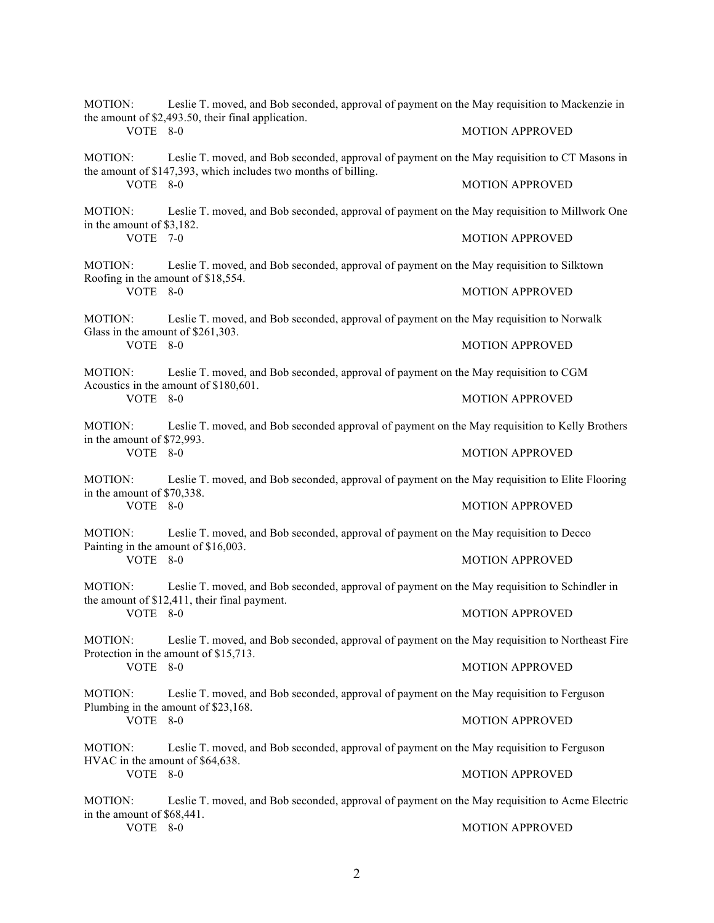| MOTION:<br>VOTE 8-0                                      | Leslie T. moved, and Bob seconded, approval of payment on the May requisition to Mackenzie in<br>the amount of \$2,493.50, their final application.             | <b>MOTION APPROVED</b> |
|----------------------------------------------------------|-----------------------------------------------------------------------------------------------------------------------------------------------------------------|------------------------|
| MOTION:                                                  | Leslie T. moved, and Bob seconded, approval of payment on the May requisition to CT Masons in<br>the amount of \$147,393, which includes two months of billing. |                        |
| VOTE 8-0                                                 |                                                                                                                                                                 | <b>MOTION APPROVED</b> |
| MOTION:<br>in the amount of \$3,182.<br>VOTE 7-0         | Leslie T. moved, and Bob seconded, approval of payment on the May requisition to Millwork One                                                                   |                        |
|                                                          |                                                                                                                                                                 | <b>MOTION APPROVED</b> |
| MOTION:                                                  | Leslie T. moved, and Bob seconded, approval of payment on the May requisition to Silktown<br>Roofing in the amount of \$18,554.                                 |                        |
| VOTE 8-0                                                 |                                                                                                                                                                 | <b>MOTION APPROVED</b> |
| MOTION:<br>Glass in the amount of \$261,303.<br>VOTE 8-0 | Leslie T. moved, and Bob seconded, approval of payment on the May requisition to Norwalk                                                                        |                        |
|                                                          |                                                                                                                                                                 | <b>MOTION APPROVED</b> |
| MOTION:<br>VOTE 8-0                                      | Leslie T. moved, and Bob seconded, approval of payment on the May requisition to CGM<br>Acoustics in the amount of \$180,601.                                   |                        |
|                                                          |                                                                                                                                                                 | <b>MOTION APPROVED</b> |
| MOTION:<br>in the amount of \$72,993.<br>VOTE 8-0        | Leslie T. moved, and Bob seconded approval of payment on the May requisition to Kelly Brothers                                                                  |                        |
|                                                          |                                                                                                                                                                 | <b>MOTION APPROVED</b> |
| MOTION:<br>in the amount of \$70,338.<br>VOTE 8-0        | Leslie T. moved, and Bob seconded, approval of payment on the May requisition to Elite Flooring                                                                 |                        |
|                                                          |                                                                                                                                                                 | <b>MOTION APPROVED</b> |
| MOTION:                                                  | Leslie T. moved, and Bob seconded, approval of payment on the May requisition to Decco<br>Painting in the amount of \$16,003.                                   |                        |
| VOTE 8-0                                                 |                                                                                                                                                                 | <b>MOTION APPROVED</b> |
| MOTION:                                                  | Leslie T. moved, and Bob seconded, approval of payment on the May requisition to Schindler in<br>the amount of \$12,411, their final payment.                   |                        |
| VOTE 8-0                                                 |                                                                                                                                                                 | <b>MOTION APPROVED</b> |
| MOTION:                                                  | Leslie T. moved, and Bob seconded, approval of payment on the May requisition to Northeast Fire<br>Protection in the amount of \$15,713.                        |                        |
| VOTE 8-0                                                 |                                                                                                                                                                 | <b>MOTION APPROVED</b> |
| MOTION:                                                  | Leslie T. moved, and Bob seconded, approval of payment on the May requisition to Ferguson<br>Plumbing in the amount of \$23,168.                                |                        |
| VOTE 8-0                                                 |                                                                                                                                                                 | <b>MOTION APPROVED</b> |
| MOTION:                                                  | Leslie T. moved, and Bob seconded, approval of payment on the May requisition to Ferguson<br>HVAC in the amount of \$64,638.                                    |                        |
| VOTE 8-0                                                 |                                                                                                                                                                 | <b>MOTION APPROVED</b> |
| MOTION:<br>in the amount of \$68,441.<br>VOTE 8-0        | Leslie T. moved, and Bob seconded, approval of payment on the May requisition to Acme Electric                                                                  |                        |
|                                                          |                                                                                                                                                                 | <b>MOTION APPROVED</b> |
|                                                          |                                                                                                                                                                 |                        |

2